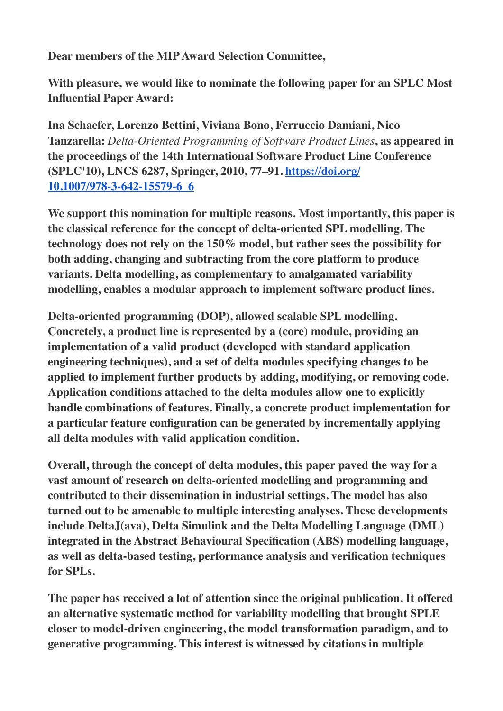**Dear members of the MIP Award Selection Committee,**

**With pleasure, we would like to nominate the following paper for an SPLC Most Influential Paper Award:**

**Ina Schaefer, Lorenzo Bettini, Viviana Bono, Ferruccio Damiani, Nico Tanzarella:** *Delta-Oriented Programming of Software Product Lines***, as appeared in the proceedings of the 14th International Software Product Line Conference (SPLC'10), LNCS 6287, Springer, 2010, 77–91. [https://doi.org/](https://doi.org/10.1007/978-3-642-15579-6_6) [10.1007/978-3-642-15579-6\\_6](https://doi.org/10.1007/978-3-642-15579-6_6)**

**We support this nomination for multiple reasons. Most importantly, this paper is the classical reference for the concept of delta-oriented SPL modelling. The technology does not rely on the 150% model, but rather sees the possibility for both adding, changing and subtracting from the core platform to produce variants. Delta modelling, as complementary to amalgamated variability modelling, enables a modular approach to implement software product lines.**

**Delta-oriented programming (DOP), allowed scalable SPL modelling. Concretely, a product line is represented by a (core) module, providing an implementation of a valid product (developed with standard application engineering techniques), and a set of delta modules specifying changes to be applied to implement further products by adding, modifying, or removing code. Application conditions attached to the delta modules allow one to explicitly handle combinations of features. Finally, a concrete product implementation for a particular feature configuration can be generated by incrementally applying all delta modules with valid application condition.**

**Overall, through the concept of delta modules, this paper paved the way for a vast amount of research on delta-oriented modelling and programming and contributed to their dissemination in industrial settings. The model has also turned out to be amenable to multiple interesting analyses. These developments include DeltaJ(ava), Delta Simulink and the Delta Modelling Language (DML) integrated in the Abstract Behavioural Specification (ABS) modelling language, as well as delta-based testing, performance analysis and verification techniques for SPLs.**

**The paper has received a lot of attention since the original publication. It offered an alternative systematic method for variability modelling that brought SPLE closer to model-driven engineering, the model transformation paradigm, and to generative programming. This interest is witnessed by citations in multiple**